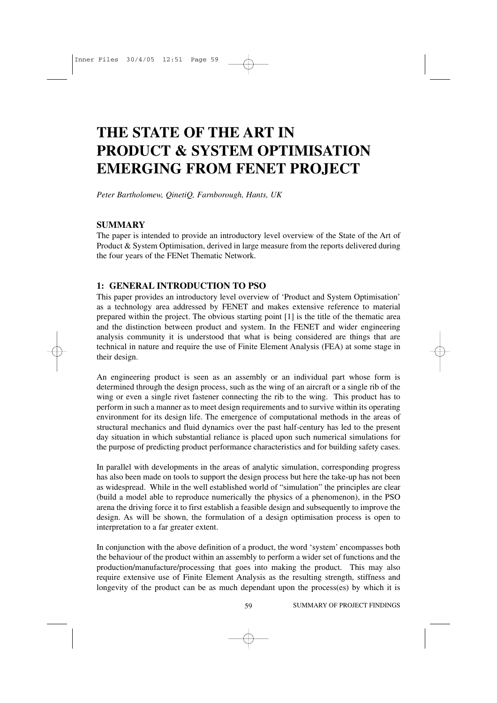# **THE STATE OF THE ART IN PRODUCT & SYSTEM OPTIMISATION EMERGING FROM FENET PROJECT**

*Peter Bartholomew, QinetiQ, Farnborough, Hants, UK*

# **SUMMARY**

The paper is intended to provide an introductory level overview of the State of the Art of Product & System Optimisation, derived in large measure from the reports delivered during the four years of the FENet Thematic Network.

# **1: GENERAL INTRODUCTION TO PSO**

This paper provides an introductory level overview of 'Product and System Optimisation' as a technology area addressed by FENET and makes extensive reference to material prepared within the project. The obvious starting point [1] is the title of the thematic area and the distinction between product and system. In the FENET and wider engineering analysis community it is understood that what is being considered are things that are technical in nature and require the use of Finite Element Analysis (FEA) at some stage in their design.

An engineering product is seen as an assembly or an individual part whose form is determined through the design process, such as the wing of an aircraft or a single rib of the wing or even a single rivet fastener connecting the rib to the wing. This product has to perform in such a manner as to meet design requirements and to survive within its operating environment for its design life. The emergence of computational methods in the areas of structural mechanics and fluid dynamics over the past half-century has led to the present day situation in which substantial reliance is placed upon such numerical simulations for the purpose of predicting product performance characteristics and for building safety cases.

In parallel with developments in the areas of analytic simulation, corresponding progress has also been made on tools to support the design process but here the take-up has not been as widespread. While in the well established world of "simulation" the principles are clear (build a model able to reproduce numerically the physics of a phenomenon), in the PSO arena the driving force it to first establish a feasible design and subsequently to improve the design. As will be shown, the formulation of a design optimisation process is open to interpretation to a far greater extent.

In conjunction with the above definition of a product, the word 'system' encompasses both the behaviour of the product within an assembly to perform a wider set of functions and the production/manufacture/processing that goes into making the product. This may also require extensive use of Finite Element Analysis as the resulting strength, stiffness and longevity of the product can be as much dependant upon the process(es) by which it is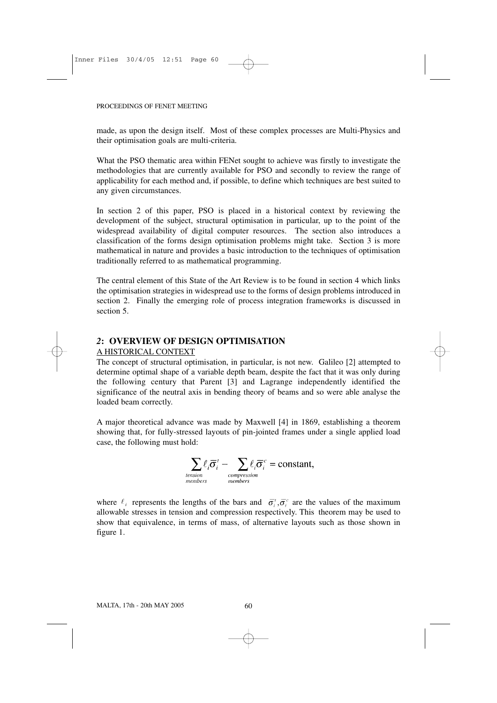made, as upon the design itself. Most of these complex processes are Multi-Physics and their optimisation goals are multi-criteria.

What the PSO thematic area within FENet sought to achieve was firstly to investigate the methodologies that are currently available for PSO and secondly to review the range of applicability for each method and, if possible, to define which techniques are best suited to any given circumstances.

In section 2 of this paper, PSO is placed in a historical context by reviewing the development of the subject, structural optimisation in particular, up to the point of the widespread availability of digital computer resources. The section also introduces a classification of the forms design optimisation problems might take. Section 3 is more mathematical in nature and provides a basic introduction to the techniques of optimisation traditionally referred to as mathematical programming.

The central element of this State of the Art Review is to be found in section 4 which links the optimisation strategies in widespread use to the forms of design problems introduced in section 2. Finally the emerging role of process integration frameworks is discussed in section 5.

# *2***: OVERVIEW OF DESIGN OPTIMISATION**

# A HISTORICAL CONTEXT

The concept of structural optimisation, in particular, is not new. Galileo [2] attempted to determine optimal shape of a variable depth beam, despite the fact that it was only during the following century that Parent [3] and Lagrange independently identified the significance of the neutral axis in bending theory of beams and so were able analyse the loaded beam correctly.

A major theoretical advance was made by Maxwell [4] in 1869, establishing a theorem showing that, for fully-stressed layouts of pin-jointed frames under a single applied load case, the following must hold:

$$
\sum_{\text{tension}\atop\text{members}}\ell_i\overline{\sigma}_i^t - \sum_{\text{compression}\atop\text{members}}\ell_i\overline{\sigma}_i^c = \text{constant},
$$

where  $\ell_i$  represents the lengths of the bars and  $\overline{\sigma}_i^i$ ,  $\overline{\sigma}_i^c$  are the values of the maximum allowable stresses in tension and compression respectively. This theorem may be used to show that equivalence, in terms of mass, of alternative layouts such as those shown in figure 1.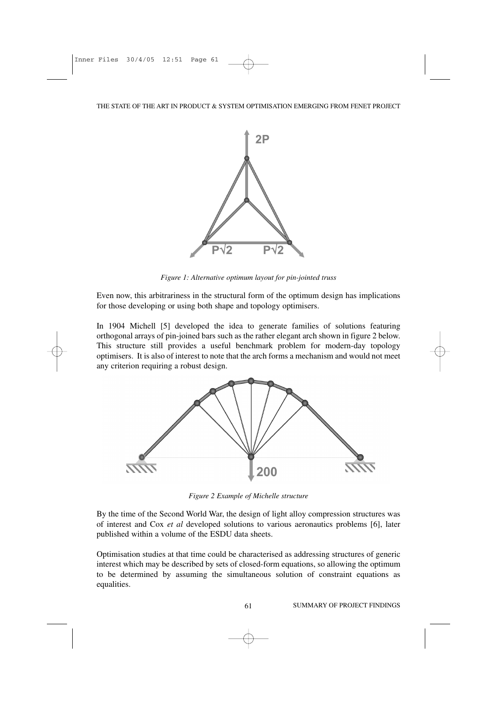

*Figure 1: Alternative optimum layout for pin-jointed truss*

Even now, this arbitrariness in the structural form of the optimum design has implications for those developing or using both shape and topology optimisers.

In 1904 Michell [5] developed the idea to generate families of solutions featuring orthogonal arrays of pin-joined bars such as the rather elegant arch shown in figure 2 below. This structure still provides a useful benchmark problem for modern-day topology optimisers. It is also of interest to note that the arch forms a mechanism and would not meet any criterion requiring a robust design.



*Figure 2 Example of Michelle structure*

By the time of the Second World War, the design of light alloy compression structures was of interest and Cox *et al* developed solutions to various aeronautics problems [6], later published within a volume of the ESDU data sheets.

Optimisation studies at that time could be characterised as addressing structures of generic interest which may be described by sets of closed-form equations, so allowing the optimum to be determined by assuming the simultaneous solution of constraint equations as equalities.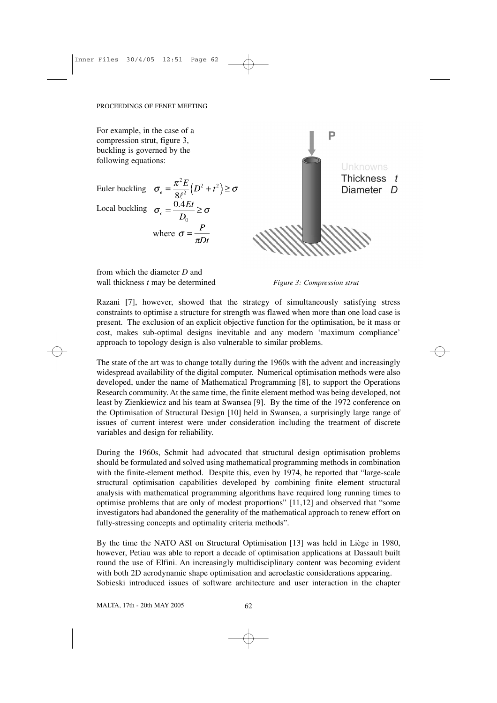For example, in the case of a P compression strut, figure 3, buckling is governed by the following equations: Thickness t Euler buckling  $\sigma_e = \frac{\pi^2 E}{8 \rho^2} (D^2 + t^2) \ge \sigma$ Diameter<sub>D</sub> Local buckling  $\sigma_c = \frac{0.4Et}{D_0} \ge \sigma$ where  $\sigma = \frac{P}{\pi Dt}$ 

from which the diameter *D* and wall thickness *t* may be determined *Figure 3: Compression strut*

Razani [7], however, showed that the strategy of simultaneously satisfying stress constraints to optimise a structure for strength was flawed when more than one load case is present. The exclusion of an explicit objective function for the optimisation, be it mass or cost, makes sub-optimal designs inevitable and any modern 'maximum compliance' approach to topology design is also vulnerable to similar problems.

The state of the art was to change totally during the 1960s with the advent and increasingly widespread availability of the digital computer. Numerical optimisation methods were also developed, under the name of Mathematical Programming [8], to support the Operations Research community. At the same time, the finite element method was being developed, not least by Zienkiewicz and his team at Swansea [9]. By the time of the 1972 conference on the Optimisation of Structural Design [10] held in Swansea, a surprisingly large range of issues of current interest were under consideration including the treatment of discrete variables and design for reliability.

During the 1960s, Schmit had advocated that structural design optimisation problems should be formulated and solved using mathematical programming methods in combination with the finite-element method. Despite this, even by 1974, he reported that "large-scale structural optimisation capabilities developed by combining finite element structural analysis with mathematical programming algorithms have required long running times to optimise problems that are only of modest proportions" [11,12] and observed that "some investigators had abandoned the generality of the mathematical approach to renew effort on fully-stressing concepts and optimality criteria methods".

By the time the NATO ASI on Structural Optimisation [13] was held in Liège in 1980, however, Petiau was able to report a decade of optimisation applications at Dassault built round the use of Elfini. An increasingly multidisciplinary content was becoming evident with both 2D aerodynamic shape optimisation and aeroelastic considerations appearing. Sobieski introduced issues of software architecture and user interaction in the chapter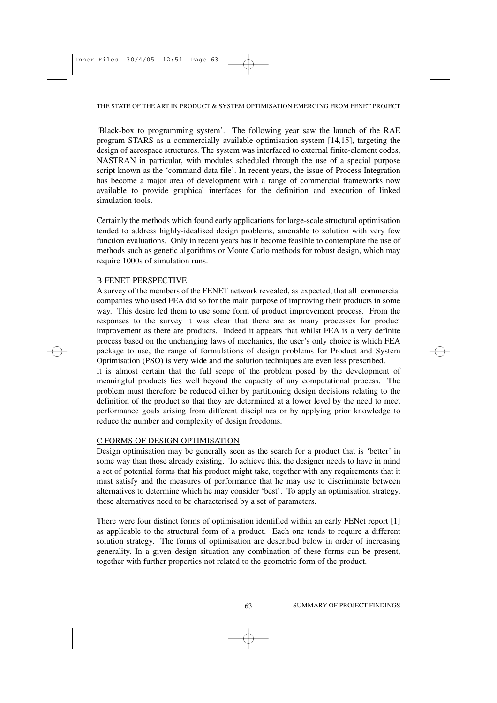'Black-box to programming system'. The following year saw the launch of the RAE program STARS as a commercially available optimisation system [14,15], targeting the design of aerospace structures. The system was interfaced to external finite-element codes, NASTRAN in particular, with modules scheduled through the use of a special purpose script known as the 'command data file'. In recent years, the issue of Process Integration has become a major area of development with a range of commercial frameworks now available to provide graphical interfaces for the definition and execution of linked simulation tools.

Certainly the methods which found early applications for large-scale structural optimisation tended to address highly-idealised design problems, amenable to solution with very few function evaluations. Only in recent years has it become feasible to contemplate the use of methods such as genetic algorithms or Monte Carlo methods for robust design, which may require 1000s of simulation runs.

## B FENET PERSPECTIVE

A survey of the members of the FENET network revealed, as expected, that all commercial companies who used FEA did so for the main purpose of improving their products in some way. This desire led them to use some form of product improvement process. From the responses to the survey it was clear that there are as many processes for product improvement as there are products. Indeed it appears that whilst FEA is a very definite process based on the unchanging laws of mechanics, the user's only choice is which FEA package to use, the range of formulations of design problems for Product and System Optimisation (PSO) is very wide and the solution techniques are even less prescribed.

It is almost certain that the full scope of the problem posed by the development of meaningful products lies well beyond the capacity of any computational process. The problem must therefore be reduced either by partitioning design decisions relating to the definition of the product so that they are determined at a lower level by the need to meet performance goals arising from different disciplines or by applying prior knowledge to reduce the number and complexity of design freedoms.

# C FORMS OF DESIGN OPTIMISATION

Design optimisation may be generally seen as the search for a product that is 'better' in some way than those already existing. To achieve this, the designer needs to have in mind a set of potential forms that his product might take, together with any requirements that it must satisfy and the measures of performance that he may use to discriminate between alternatives to determine which he may consider 'best'. To apply an optimisation strategy, these alternatives need to be characterised by a set of parameters.

There were four distinct forms of optimisation identified within an early FENet report [1] as applicable to the structural form of a product. Each one tends to require a different solution strategy. The forms of optimisation are described below in order of increasing generality. In a given design situation any combination of these forms can be present, together with further properties not related to the geometric form of the product.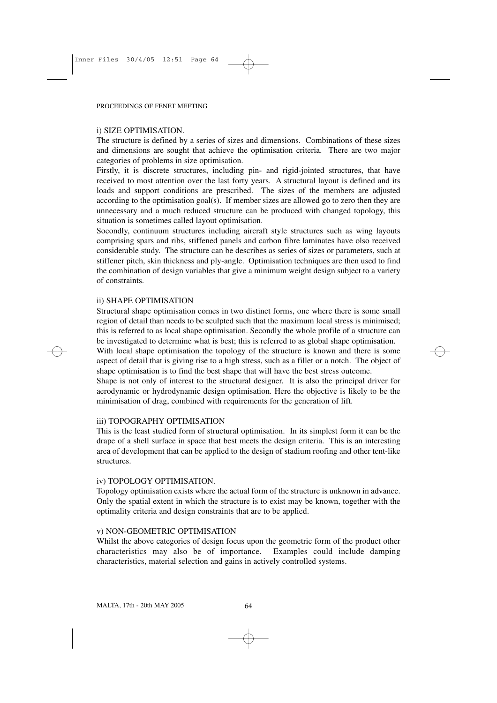## i) SIZE OPTIMISATION.

The structure is defined by a series of sizes and dimensions. Combinations of these sizes and dimensions are sought that achieve the optimisation criteria. There are two major categories of problems in size optimisation.

Firstly, it is discrete structures, including pin- and rigid-jointed structures, that have received to most attention over the last forty years. A structural layout is defined and its loads and support conditions are prescribed. The sizes of the members are adjusted according to the optimisation goal(s). If member sizes are allowed go to zero then they are unnecessary and a much reduced structure can be produced with changed topology, this situation is sometimes called layout optimisation.

Socondly, continuum structures including aircraft style structures such as wing layouts comprising spars and ribs, stiffened panels and carbon fibre laminates have olso received considerable study. The structure can be describes as series of sizes or parameters, such at stiffener pitch, skin thickness and ply-angle. Optimisation techniques are then used to find the combination of design variables that give a minimum weight design subject to a variety of constraints.

# ii) SHAPE OPTIMISATION

Structural shape optimisation comes in two distinct forms, one where there is some small region of detail than needs to be sculpted such that the maximum local stress is minimised; this is referred to as local shape optimisation. Secondly the whole profile of a structure can be investigated to determine what is best; this is referred to as global shape optimisation.

With local shape optimisation the topology of the structure is known and there is some aspect of detail that is giving rise to a high stress, such as a fillet or a notch. The object of shape optimisation is to find the best shape that will have the best stress outcome.

Shape is not only of interest to the structural designer. It is also the principal driver for aerodynamic or hydrodynamic design optimisation. Here the objective is likely to be the minimisation of drag, combined with requirements for the generation of lift.

# iii) TOPOGRAPHY OPTIMISATION

This is the least studied form of structural optimisation. In its simplest form it can be the drape of a shell surface in space that best meets the design criteria. This is an interesting area of development that can be applied to the design of stadium roofing and other tent-like structures.

# iv) TOPOLOGY OPTIMISATION.

Topology optimisation exists where the actual form of the structure is unknown in advance. Only the spatial extent in which the structure is to exist may be known, together with the optimality criteria and design constraints that are to be applied.

# v) NON-GEOMETRIC OPTIMISATION

Whilst the above categories of design focus upon the geometric form of the product other characteristics may also be of importance. Examples could include damping characteristics, material selection and gains in actively controlled systems.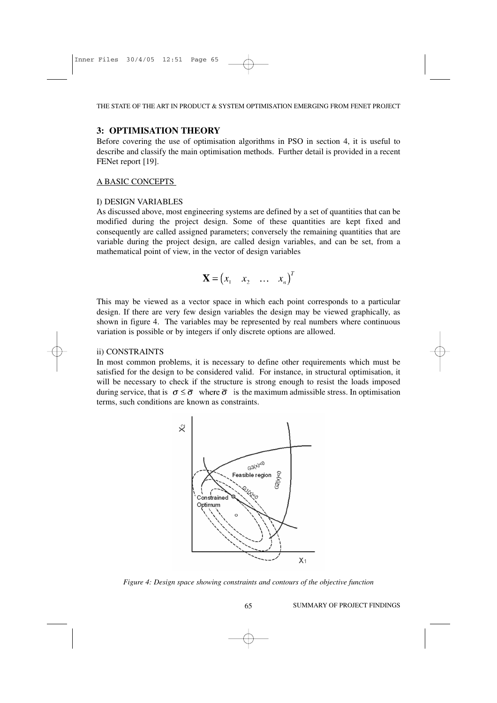## **3: OPTIMISATION THEORY**

Before covering the use of optimisation algorithms in PSO in section 4, it is useful to describe and classify the main optimisation methods. Further detail is provided in a recent FENet report [19].

## A BASIC CONCEPTS

#### I) DESIGN VARIABLES

As discussed above, most engineering systems are defined by a set of quantities that can be modified during the project design. Some of these quantities are kept fixed and consequently are called assigned parameters; conversely the remaining quantities that are variable during the project design, are called design variables, and can be set, from a mathematical point of view, in the vector of design variables

$$
\mathbf{X} = \begin{pmatrix} x_1 & x_2 & \dots & x_n \end{pmatrix}^T
$$

This may be viewed as a vector space in which each point corresponds to a particular design. If there are very few design variables the design may be viewed graphically, as shown in figure 4. The variables may be represented by real numbers where continuous variation is possible or by integers if only discrete options are allowed.

#### ii) CONSTRAINTS

In most common problems, it is necessary to define other requirements which must be satisfied for the design to be considered valid. For instance, in structural optimisation, it will be necessary to check if the structure is strong enough to resist the loads imposed during service, that is  $\sigma \leq \overline{\sigma}$  where  $\overline{\sigma}$  is the maximum admissible stress. In optimisation terms, such conditions are known as constraints.



*Figure 4: Design space showing constraints and contours of the objective function*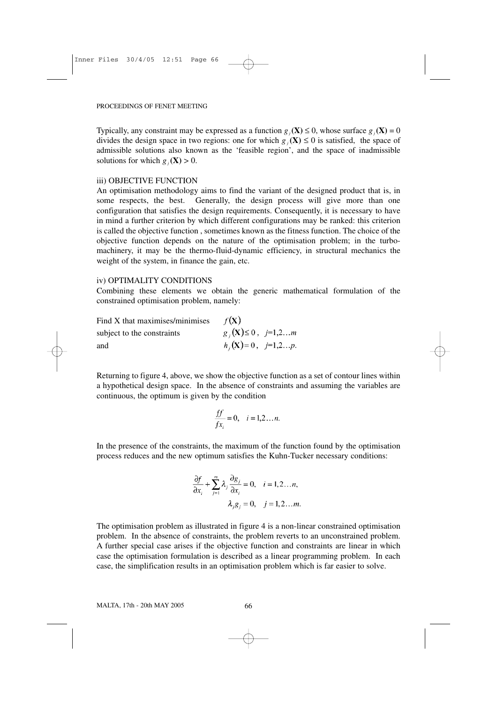Typically, any constraint may be expressed as a function  $g_i(\mathbf{X}) \le 0$ , whose surface  $g_i(\mathbf{X}) = 0$ divides the design space in two regions: one for which  $g_i(\mathbf{X}) \leq 0$  is satisfied, the space of admissible solutions also known as the 'feasible region', and the space of inadmissible solutions for which  $g_i(\mathbf{X}) > 0$ .

## iii) OBJECTIVE FUNCTION

An optimisation methodology aims to find the variant of the designed product that is, in some respects, the best. Generally, the design process will give more than one configuration that satisfies the design requirements. Consequently, it is necessary to have in mind a further criterion by which different configurations may be ranked: this criterion is called the objective function , sometimes known as the fitness function. The choice of the objective function depends on the nature of the optimisation problem; in the turbomachinery, it may be the thermo-fluid-dynamic efficiency, in structural mechanics the weight of the system, in finance the gain, etc.

## iv) OPTIMALITY CONDITIONS

Combining these elements we obtain the generic mathematical formulation of the constrained optimisation problem, namely:

| Find X that maximises/minimises | $f(\mathbf{X})$                    |
|---------------------------------|------------------------------------|
| subject to the constraints      | $g_i(\mathbf{X}) \leq 0, j=1,2m$   |
| and                             | $h_i(\mathbf{X})=0, \quad j=1,2p.$ |

Returning to figure 4, above, we show the objective function as a set of contour lines within a hypothetical design space. In the absence of constraints and assuming the variables are continuous, the optimum is given by the condition

$$
\frac{ff}{fx_i} = 0, \quad i = 1, 2, \dots n.
$$

In the presence of the constraints, the maximum of the function found by the optimisation process reduces and the new optimum satisfies the Kuhn-Tucker necessary conditions:

$$
\frac{\partial f}{\partial x_i} + \sum_{j=1}^m \lambda_j \frac{\partial g_j}{\partial x_i} = 0, \quad i = 1, 2...n,
$$
  

$$
\lambda_j g_j = 0, \quad j = 1, 2...m.
$$

The optimisation problem as illustrated in figure 4 is a non-linear constrained optimisation problem. In the absence of constraints, the problem reverts to an unconstrained problem. A further special case arises if the objective function and constraints are linear in which case the optimisation formulation is described as a linear programming problem. In each case, the simplification results in an optimisation problem which is far easier to solve.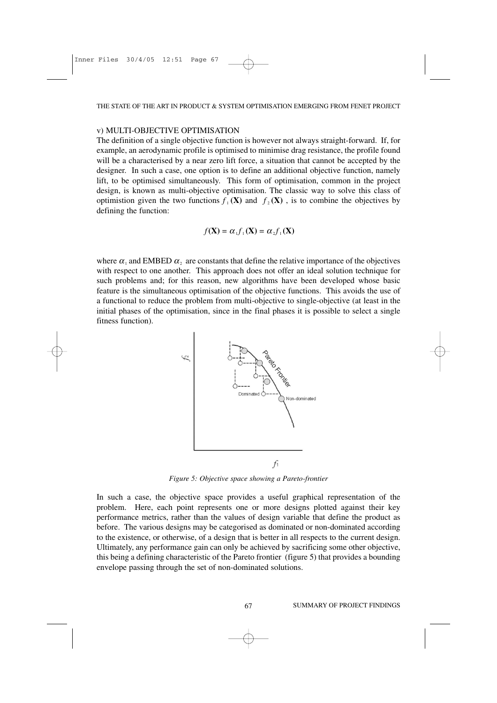## v) MULTI-OBJECTIVE OPTIMISATION

The definition of a single objective function is however not always straight-forward. If, for example, an aerodynamic profile is optimised to minimise drag resistance, the profile found will be a characterised by a near zero lift force, a situation that cannot be accepted by the designer. In such a case, one option is to define an additional objective function, namely lift, to be optimised simultaneously. This form of optimisation, common in the project design, is known as multi-objective optimisation. The classic way to solve this class of optimistion given the two functions  $f_1(\mathbf{X})$  and  $f_2(\mathbf{X})$ , is to combine the objectives by defining the function:

$$
f(\mathbf{X}) = \alpha_1 f_1(\mathbf{X}) = \alpha_2 f_1(\mathbf{X})
$$

where  $\alpha_1$  and EMBED  $\alpha_2$  are constants that define the relative importance of the objectives with respect to one another. This approach does not offer an ideal solution technique for such problems and; for this reason, new algorithms have been developed whose basic feature is the simultaneous optimisation of the objective functions. This avoids the use of a functional to reduce the problem from multi-objective to single-objective (at least in the initial phases of the optimisation, since in the final phases it is possible to select a single fitness function).



*Figure 5: Objective space showing a Pareto-frontier*

In such a case, the objective space provides a useful graphical representation of the problem. Here, each point represents one or more designs plotted against their key performance metrics, rather than the values of design variable that define the product as before. The various designs may be categorised as dominated or non-dominated according to the existence, or otherwise, of a design that is better in all respects to the current design. Ultimately, any performance gain can only be achieved by sacrificing some other objective, this being a defining characteristic of the Pareto frontier (figure 5) that provides a bounding envelope passing through the set of non-dominated solutions.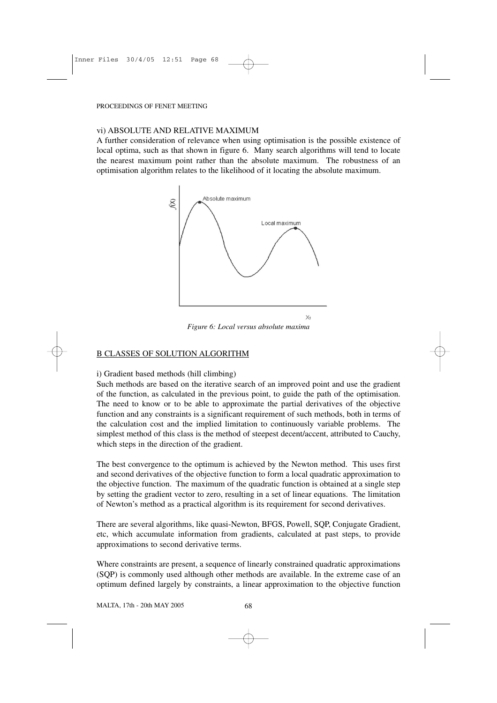# vi) ABSOLUTE AND RELATIVE MAXIMUM

A further consideration of relevance when using optimisation is the possible existence of local optima, such as that shown in figure 6. Many search algorithms will tend to locate the nearest maximum point rather than the absolute maximum. The robustness of an optimisation algorithm relates to the likelihood of it locating the absolute maximum.



*Figure 6: Local versus absolute maxima*

# B CLASSES OF SOLUTION ALGORITHM

i) Gradient based methods (hill climbing)

Such methods are based on the iterative search of an improved point and use the gradient of the function, as calculated in the previous point, to guide the path of the optimisation. The need to know or to be able to approximate the partial derivatives of the objective function and any constraints is a significant requirement of such methods, both in terms of the calculation cost and the implied limitation to continuously variable problems. The simplest method of this class is the method of steepest decent/accent, attributed to Cauchy, which steps in the direction of the gradient.

The best convergence to the optimum is achieved by the Newton method. This uses first and second derivatives of the objective function to form a local quadratic approximation to the objective function. The maximum of the quadratic function is obtained at a single step by setting the gradient vector to zero, resulting in a set of linear equations. The limitation of Newton's method as a practical algorithm is its requirement for second derivatives.

There are several algorithms, like quasi-Newton, BFGS, Powell, SQP, Conjugate Gradient, etc, which accumulate information from gradients, calculated at past steps, to provide approximations to second derivative terms.

Where constraints are present, a sequence of linearly constrained quadratic approximations (SQP) is commonly used although other methods are available. In the extreme case of an optimum defined largely by constraints, a linear approximation to the objective function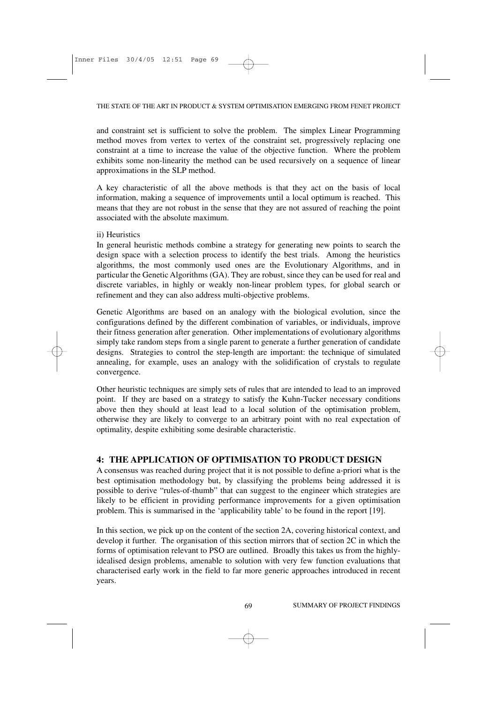and constraint set is sufficient to solve the problem. The simplex Linear Programming method moves from vertex to vertex of the constraint set, progressively replacing one constraint at a time to increase the value of the objective function. Where the problem exhibits some non-linearity the method can be used recursively on a sequence of linear approximations in the SLP method.

A key characteristic of all the above methods is that they act on the basis of local information, making a sequence of improvements until a local optimum is reached. This means that they are not robust in the sense that they are not assured of reaching the point associated with the absolute maximum.

# ii) Heuristics

In general heuristic methods combine a strategy for generating new points to search the design space with a selection process to identify the best trials. Among the heuristics algorithms, the most commonly used ones are the Evolutionary Algorithms, and in particular the Genetic Algorithms (GA). They are robust, since they can be used for real and discrete variables, in highly or weakly non-linear problem types, for global search or refinement and they can also address multi-objective problems.

Genetic Algorithms are based on an analogy with the biological evolution, since the configurations defined by the different combination of variables, or individuals, improve their fitness generation after generation. Other implementations of evolutionary algorithms simply take random steps from a single parent to generate a further generation of candidate designs. Strategies to control the step-length are important: the technique of simulated annealing, for example, uses an analogy with the solidification of crystals to regulate convergence.

Other heuristic techniques are simply sets of rules that are intended to lead to an improved point. If they are based on a strategy to satisfy the Kuhn-Tucker necessary conditions above then they should at least lead to a local solution of the optimisation problem, otherwise they are likely to converge to an arbitrary point with no real expectation of optimality, despite exhibiting some desirable characteristic.

# **4: THE APPLICATION OF OPTIMISATION TO PRODUCT DESIGN**

A consensus was reached during project that it is not possible to define a-priori what is the best optimisation methodology but, by classifying the problems being addressed it is possible to derive "rules-of-thumb" that can suggest to the engineer which strategies are likely to be efficient in providing performance improvements for a given optimisation problem. This is summarised in the 'applicability table' to be found in the report [19].

In this section, we pick up on the content of the section 2A, covering historical context, and develop it further. The organisation of this section mirrors that of section 2C in which the forms of optimisation relevant to PSO are outlined. Broadly this takes us from the highlyidealised design problems, amenable to solution with very few function evaluations that characterised early work in the field to far more generic approaches introduced in recent years.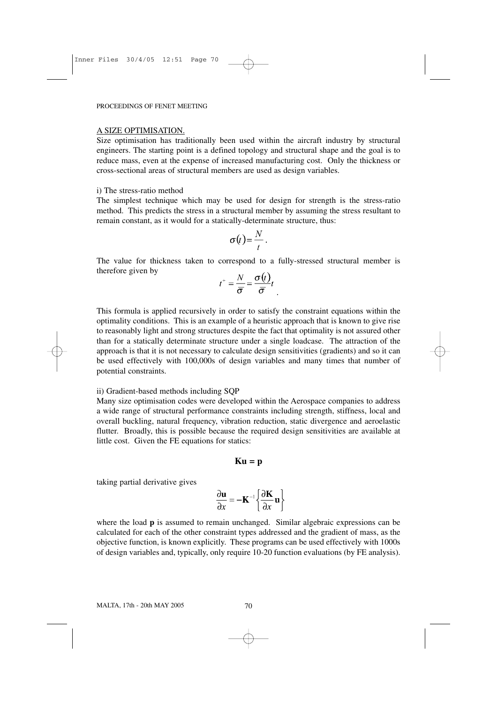#### A SIZE OPTIMISATION.

Size optimisation has traditionally been used within the aircraft industry by structural engineers. The starting point is a defined topology and structural shape and the goal is to reduce mass, even at the expense of increased manufacturing cost. Only the thickness or cross-sectional areas of structural members are used as design variables.

#### i) The stress-ratio method

The simplest technique which may be used for design for strength is the stress-ratio method. This predicts the stress in a structural member by assuming the stress resultant to remain constant, as it would for a statically-determinate structure, thus:

$$
\sigma(t) = \frac{N}{t}.
$$

The value for thickness taken to correspond to a fully-stressed structural member is therefore given by

$$
t^+ = \frac{N}{\overline{\sigma}} = \frac{\sigma(t)}{\overline{\sigma}}t
$$

This formula is applied recursively in order to satisfy the constraint equations within the optimality conditions. This is an example of a heuristic approach that is known to give rise to reasonably light and strong structures despite the fact that optimality is not assured other than for a statically determinate structure under a single loadcase. The attraction of the approach is that it is not necessary to calculate design sensitivities (gradients) and so it can be used effectively with 100,000s of design variables and many times that number of potential constraints.

#### ii) Gradient-based methods including SQP

Many size optimisation codes were developed within the Aerospace companies to address a wide range of structural performance constraints including strength, stiffness, local and overall buckling, natural frequency, vibration reduction, static divergence and aeroelastic flutter. Broadly, this is possible because the required design sensitivities are available at little cost. Given the FE equations for statics:

$$
\mathbf{K}\mathbf{u} = \mathbf{p}
$$

taking partial derivative gives

$$
\frac{\partial \mathbf{u}}{\partial x} = -\mathbf{K}^{-1} \left\{ \frac{\partial \mathbf{K}}{\partial x} \mathbf{u} \right\}
$$

where the load **p** is assumed to remain unchanged. Similar algebraic expressions can be calculated for each of the other constraint types addressed and the gradient of mass, as the objective function, is known explicitly. These programs can be used effectively with 1000s of design variables and, typically, only require 10-20 function evaluations (by FE analysis).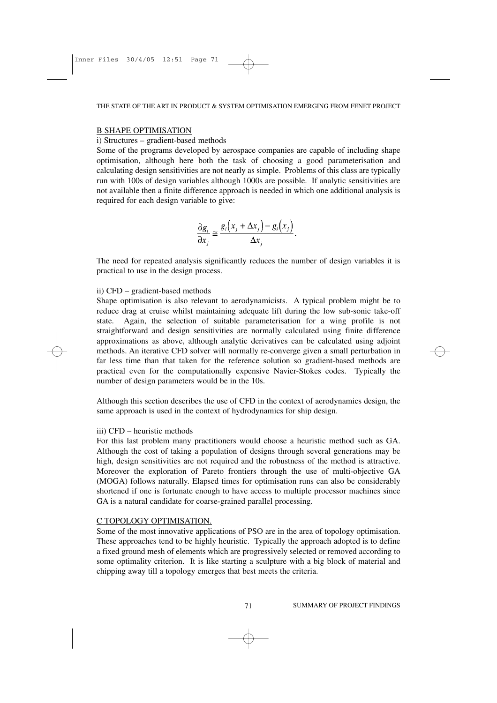## B SHAPE OPTIMISATION

## i) Structures – gradient-based methods

Some of the programs developed by aerospace companies are capable of including shape optimisation, although here both the task of choosing a good parameterisation and calculating design sensitivities are not nearly as simple. Problems of this class are typically run with 100s of design variables although 1000s are possible. If analytic sensitivities are not available then a finite difference approach is needed in which one additional analysis is required for each design variable to give:

$$
\frac{\partial g_i}{\partial x_j} \cong \frac{g_i(x_j + \Delta x_j) - g_i(x_j)}{\Delta x_j}.
$$

The need for repeated analysis significantly reduces the number of design variables it is practical to use in the design process.

## ii) CFD – gradient-based methods

Shape optimisation is also relevant to aerodynamicists. A typical problem might be to reduce drag at cruise whilst maintaining adequate lift during the low sub-sonic take-off state. Again, the selection of suitable parameterisation for a wing profile is not straightforward and design sensitivities are normally calculated using finite difference approximations as above, although analytic derivatives can be calculated using adjoint methods. An iterative CFD solver will normally re-converge given a small perturbation in far less time than that taken for the reference solution so gradient-based methods are practical even for the computationally expensive Navier-Stokes codes. Typically the number of design parameters would be in the 10s.

Although this section describes the use of CFD in the context of aerodynamics design, the same approach is used in the context of hydrodynamics for ship design.

# iii) CFD – heuristic methods

For this last problem many practitioners would choose a heuristic method such as GA. Although the cost of taking a population of designs through several generations may be high, design sensitivities are not required and the robustness of the method is attractive. Moreover the exploration of Pareto frontiers through the use of multi-objective GA (MOGA) follows naturally. Elapsed times for optimisation runs can also be considerably shortened if one is fortunate enough to have access to multiple processor machines since GA is a natural candidate for coarse-grained parallel processing.

# C TOPOLOGY OPTIMISATION.

Some of the most innovative applications of PSO are in the area of topology optimisation. These approaches tend to be highly heuristic. Typically the approach adopted is to define a fixed ground mesh of elements which are progressively selected or removed according to some optimality criterion. It is like starting a sculpture with a big block of material and chipping away till a topology emerges that best meets the criteria.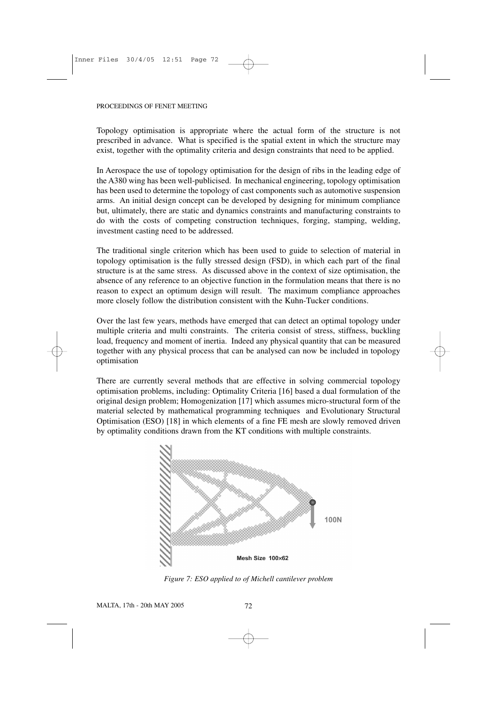Topology optimisation is appropriate where the actual form of the structure is not prescribed in advance. What is specified is the spatial extent in which the structure may exist, together with the optimality criteria and design constraints that need to be applied.

In Aerospace the use of topology optimisation for the design of ribs in the leading edge of the A380 wing has been well-publicised. In mechanical engineering, topology optimisation has been used to determine the topology of cast components such as automotive suspension arms. An initial design concept can be developed by designing for minimum compliance but, ultimately, there are static and dynamics constraints and manufacturing constraints to do with the costs of competing construction techniques, forging, stamping, welding, investment casting need to be addressed.

The traditional single criterion which has been used to guide to selection of material in topology optimisation is the fully stressed design (FSD), in which each part of the final structure is at the same stress. As discussed above in the context of size optimisation, the absence of any reference to an objective function in the formulation means that there is no reason to expect an optimum design will result. The maximum compliance approaches more closely follow the distribution consistent with the Kuhn-Tucker conditions.

Over the last few years, methods have emerged that can detect an optimal topology under multiple criteria and multi constraints. The criteria consist of stress, stiffness, buckling load, frequency and moment of inertia. Indeed any physical quantity that can be measured together with any physical process that can be analysed can now be included in topology optimisation

There are currently several methods that are effective in solving commercial topology optimisation problems, including: Optimality Criteria [16] based a dual formulation of the original design problem; Homogenization [17] which assumes micro-structural form of the material selected by mathematical programming techniques and Evolutionary Structural Optimisation (ESO) [18] in which elements of a fine FE mesh are slowly removed driven by optimality conditions drawn from the KT conditions with multiple constraints.



*Figure 7: ESO applied to of Michell cantilever problem*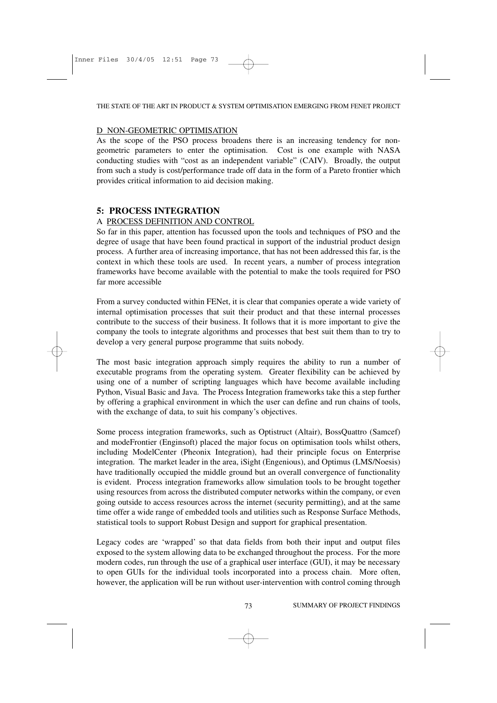#### THE STATE OF THE ART IN PRODUCT & SYSTEM OPTIMISATION EMERGING FROM FENET PROJECT

## D NON-GEOMETRIC OPTIMISATION

As the scope of the PSO process broadens there is an increasing tendency for nongeometric parameters to enter the optimisation. Cost is one example with NASA conducting studies with "cost as an independent variable" (CAIV). Broadly, the output from such a study is cost/performance trade off data in the form of a Pareto frontier which provides critical information to aid decision making.

# **5: PROCESS INTEGRATION**

# A PROCESS DEFINITION AND CONTROL

So far in this paper, attention has focussed upon the tools and techniques of PSO and the degree of usage that have been found practical in support of the industrial product design process. A further area of increasing importance, that has not been addressed this far, is the context in which these tools are used. In recent years, a number of process integration frameworks have become available with the potential to make the tools required for PSO far more accessible

From a survey conducted within FENet, it is clear that companies operate a wide variety of internal optimisation processes that suit their product and that these internal processes contribute to the success of their business. It follows that it is more important to give the company the tools to integrate algorithms and processes that best suit them than to try to develop a very general purpose programme that suits nobody.

The most basic integration approach simply requires the ability to run a number of executable programs from the operating system. Greater flexibility can be achieved by using one of a number of scripting languages which have become available including Python, Visual Basic and Java. The Process Integration frameworks take this a step further by offering a graphical environment in which the user can define and run chains of tools, with the exchange of data, to suit his company's objectives.

Some process integration frameworks, such as Optistruct (Altair), BossQuattro (Samcef) and modeFrontier (Enginsoft) placed the major focus on optimisation tools whilst others, including ModelCenter (Pheonix Integration), had their principle focus on Enterprise integration. The market leader in the area, iSight (Engenious), and Optimus (LMS/Noesis) have traditionally occupied the middle ground but an overall convergence of functionality is evident. Process integration frameworks allow simulation tools to be brought together using resources from across the distributed computer networks within the company, or even going outside to access resources across the internet (security permitting), and at the same time offer a wide range of embedded tools and utilities such as Response Surface Methods, statistical tools to support Robust Design and support for graphical presentation.

Legacy codes are 'wrapped' so that data fields from both their input and output files exposed to the system allowing data to be exchanged throughout the process. For the more modern codes, run through the use of a graphical user interface (GUI), it may be necessary to open GUIs for the individual tools incorporated into a process chain. More often, however, the application will be run without user-intervention with control coming through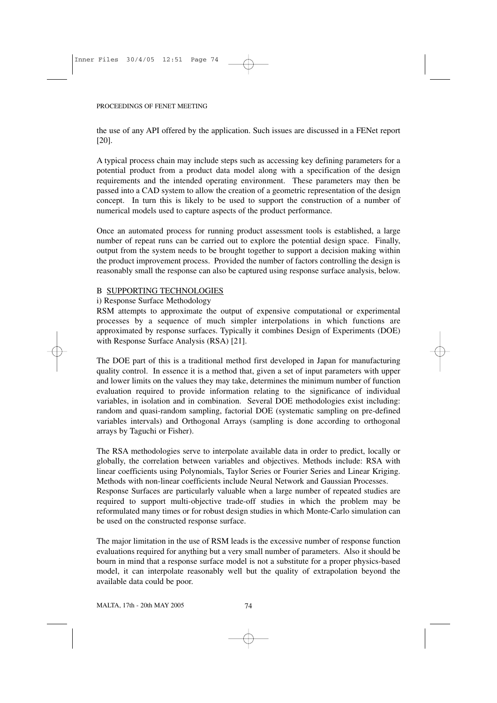the use of any API offered by the application. Such issues are discussed in a FENet report [20].

A typical process chain may include steps such as accessing key defining parameters for a potential product from a product data model along with a specification of the design requirements and the intended operating environment. These parameters may then be passed into a CAD system to allow the creation of a geometric representation of the design concept. In turn this is likely to be used to support the construction of a number of numerical models used to capture aspects of the product performance.

Once an automated process for running product assessment tools is established, a large number of repeat runs can be carried out to explore the potential design space. Finally, output from the system needs to be brought together to support a decision making within the product improvement process. Provided the number of factors controlling the design is reasonably small the response can also be captured using response surface analysis, below.

# B SUPPORTING TECHNOLOGIES

# i) Response Surface Methodology

RSM attempts to approximate the output of expensive computational or experimental processes by a sequence of much simpler interpolations in which functions are approximated by response surfaces. Typically it combines Design of Experiments (DOE) with Response Surface Analysis (RSA) [21].

The DOE part of this is a traditional method first developed in Japan for manufacturing quality control. In essence it is a method that, given a set of input parameters with upper and lower limits on the values they may take, determines the minimum number of function evaluation required to provide information relating to the significance of individual variables, in isolation and in combination. Several DOE methodologies exist including: random and quasi-random sampling, factorial DOE (systematic sampling on pre-defined variables intervals) and Orthogonal Arrays (sampling is done according to orthogonal arrays by Taguchi or Fisher).

The RSA methodologies serve to interpolate available data in order to predict, locally or globally, the correlation between variables and objectives. Methods include: RSA with linear coefficients using Polynomials, Taylor Series or Fourier Series and Linear Kriging. Methods with non-linear coefficients include Neural Network and Gaussian Processes. Response Surfaces are particularly valuable when a large number of repeated studies are required to support multi-objective trade-off studies in which the problem may be reformulated many times or for robust design studies in which Monte-Carlo simulation can be used on the constructed response surface.

The major limitation in the use of RSM leads is the excessive number of response function evaluations required for anything but a very small number of parameters. Also it should be bourn in mind that a response surface model is not a substitute for a proper physics-based model, it can interpolate reasonably well but the quality of extrapolation beyond the available data could be poor.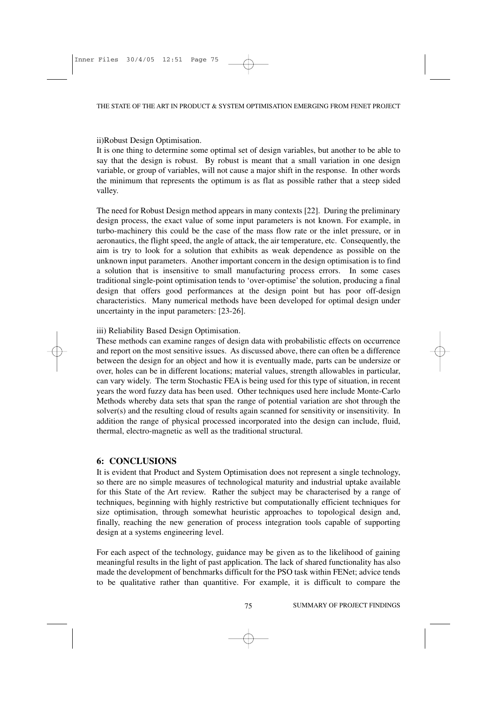## ii)Robust Design Optimisation.

It is one thing to determine some optimal set of design variables, but another to be able to say that the design is robust. By robust is meant that a small variation in one design variable, or group of variables, will not cause a major shift in the response. In other words the minimum that represents the optimum is as flat as possible rather that a steep sided valley.

The need for Robust Design method appears in many contexts [22]. During the preliminary design process, the exact value of some input parameters is not known. For example, in turbo-machinery this could be the case of the mass flow rate or the inlet pressure, or in aeronautics, the flight speed, the angle of attack, the air temperature, etc. Consequently, the aim is try to look for a solution that exhibits as weak dependence as possible on the unknown input parameters. Another important concern in the design optimisation is to find a solution that is insensitive to small manufacturing process errors. In some cases traditional single-point optimisation tends to 'over-optimise' the solution, producing a final design that offers good performances at the design point but has poor off-design characteristics. Many numerical methods have been developed for optimal design under uncertainty in the input parameters: [23-26].

iii) Reliability Based Design Optimisation.

These methods can examine ranges of design data with probabilistic effects on occurrence and report on the most sensitive issues. As discussed above, there can often be a difference between the design for an object and how it is eventually made, parts can be undersize or over, holes can be in different locations; material values, strength allowables in particular, can vary widely. The term Stochastic FEA is being used for this type of situation, in recent years the word fuzzy data has been used. Other techniques used here include Monte-Carlo Methods whereby data sets that span the range of potential variation are shot through the solver(s) and the resulting cloud of results again scanned for sensitivity or insensitivity. In addition the range of physical processed incorporated into the design can include, fluid, thermal, electro-magnetic as well as the traditional structural.

# **6: CONCLUSIONS**

It is evident that Product and System Optimisation does not represent a single technology, so there are no simple measures of technological maturity and industrial uptake available for this State of the Art review. Rather the subject may be characterised by a range of techniques, beginning with highly restrictive but computationally efficient techniques for size optimisation, through somewhat heuristic approaches to topological design and, finally, reaching the new generation of process integration tools capable of supporting design at a systems engineering level.

For each aspect of the technology, guidance may be given as to the likelihood of gaining meaningful results in the light of past application. The lack of shared functionality has also made the development of benchmarks difficult for the PSO task within FENet; advice tends to be qualitative rather than quantitive. For example, it is difficult to compare the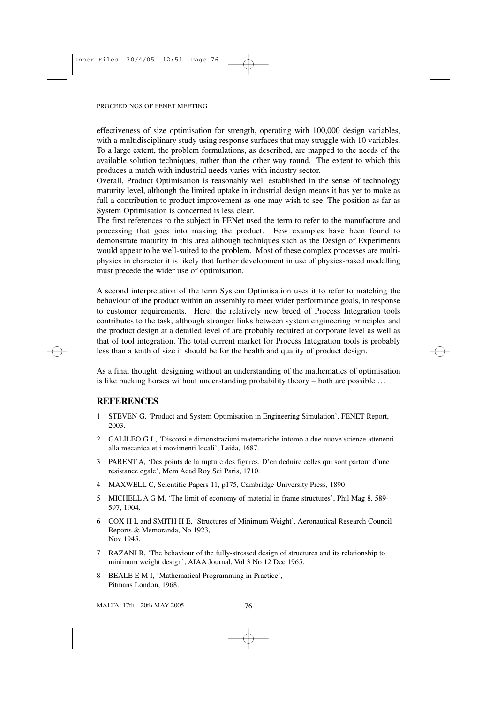effectiveness of size optimisation for strength, operating with 100,000 design variables, with a multidisciplinary study using response surfaces that may struggle with 10 variables. To a large extent, the problem formulations, as described, are mapped to the needs of the available solution techniques, rather than the other way round. The extent to which this produces a match with industrial needs varies with industry sector.

Overall, Product Optimisation is reasonably well established in the sense of technology maturity level, although the limited uptake in industrial design means it has yet to make as full a contribution to product improvement as one may wish to see. The position as far as System Optimisation is concerned is less clear.

The first references to the subject in FENet used the term to refer to the manufacture and processing that goes into making the product. Few examples have been found to demonstrate maturity in this area although techniques such as the Design of Experiments would appear to be well-suited to the problem. Most of these complex processes are multiphysics in character it is likely that further development in use of physics-based modelling must precede the wider use of optimisation.

A second interpretation of the term System Optimisation uses it to refer to matching the behaviour of the product within an assembly to meet wider performance goals, in response to customer requirements. Here, the relatively new breed of Process Integration tools contributes to the task, although stronger links between system engineering principles and the product design at a detailed level of are probably required at corporate level as well as that of tool integration. The total current market for Process Integration tools is probably less than a tenth of size it should be for the health and quality of product design.

As a final thought: designing without an understanding of the mathematics of optimisation is like backing horses without understanding probability theory – both are possible …

# **REFERENCES**

- 1 STEVEN G, 'Product and System Optimisation in Engineering Simulation', FENET Report, 2003.
- 2 GALILEO G L, 'Discorsi e dimonstrazioni matematiche intomo a due nuove scienze attenenti alla mecanica et i movimenti locali', Leida, 1687.
- 3 PARENT A, 'Des points de la rupture des figures. D'en deduire celles qui sont partout d'une resistance egale', Mem Acad Roy Sci Paris, 1710.
- 4 MAXWELL C, Scientific Papers 11, p175, Cambridge University Press, 1890
- 5 MICHELL A G M, 'The limit of economy of material in frame structures', Phil Mag 8, 589- 597, 1904.
- 6 COX H L and SMITH H E, 'Structures of Minimum Weight', Aeronautical Research Council Reports & Memoranda, No 1923, Nov 1945.
- 7 RAZANI R, 'The behaviour of the fully-stressed design of structures and its relationship to minimum weight design', AIAA Journal, Vol 3 No 12 Dec 1965.
- 8 BEALE E M I, 'Mathematical Programming in Practice', Pitmans London, 1968.